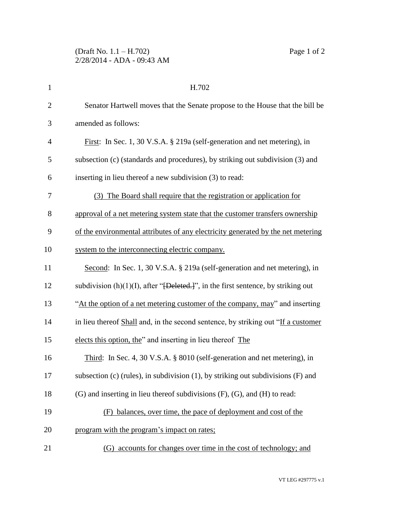| $\mathbf{1}$   | H.702                                                                                             |
|----------------|---------------------------------------------------------------------------------------------------|
| $\overline{2}$ | Senator Hartwell moves that the Senate propose to the House that the bill be                      |
| 3              | amended as follows:                                                                               |
| $\overline{4}$ | First: In Sec. 1, 30 V.S.A. § 219a (self-generation and net metering), in                         |
| 5              | subsection (c) (standards and procedures), by striking out subdivision (3) and                    |
| 6              | inserting in lieu thereof a new subdivision (3) to read:                                          |
| 7              | (3) The Board shall require that the registration or application for                              |
| 8              | approval of a net metering system state that the customer transfers ownership                     |
| 9              | of the environmental attributes of any electricity generated by the net metering                  |
| 10             | system to the interconnecting electric company.                                                   |
| 11             | Second: In Sec. 1, 30 V.S.A. § 219a (self-generation and net metering), in                        |
| 12             | subdivision $(h)(1)(I)$ , after " <del>[Deleted.]</del> ", in the first sentence, by striking out |
| 13             | "At the option of a net metering customer of the company, may" and inserting                      |
| 14             | in lieu thereof Shall and, in the second sentence, by striking out "If a customer                 |
| 15             | elects this option, the" and inserting in lieu thereof The                                        |
| 16             | Third: In Sec. 4, 30 V.S.A. § 8010 (self-generation and net metering), in                         |
| 17             | subsection (c) (rules), in subdivision $(1)$ , by striking out subdivisions $(F)$ and             |
| 18             | $(G)$ and inserting in lieu thereof subdivisions $(F)$ , $(G)$ , and $(H)$ to read:               |
| 19             | balances, over time, the pace of deployment and cost of the                                       |
| 20             | program with the program's impact on rates;                                                       |
|                |                                                                                                   |

21 (G) accounts for changes over time in the cost of technology; and